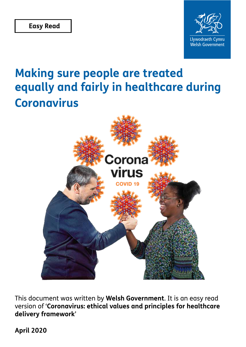

# **Making sure people are treated equally and fairly in healthcare during Coronavirus**



This document was written by **Welsh Government**. It is an easy read version of '**Coronavirus: ethical values and principles for healthcare delivery framework**'

**April 2020**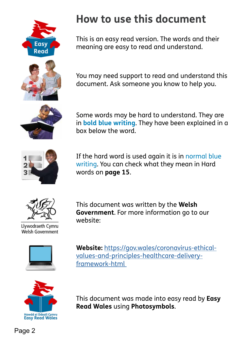<span id="page-1-0"></span>

# **How to use this document**

This is an easy read version. The words and their meaning are easy to read and understand.

You may need support to read and understand this document. Ask someone you know to help you.



Some words may be hard to understand. They are in **bold blue writing**. They have been explained in a box below the word.



If the hard word is used again it is in normal blue writing. You can check what they mean in Hard words on **page 15**.



Llywodraeth Cymru **Welsh Government** 

This document was written by the **Welsh Government**. For more information go to our website:



**Website:** [https://gov.wales/coronavirus-ethical](https://gov.wales/coronavirus-ethical-values-and-principles-healthcare-delivery-framework-html )[values-and-principles-healthcare-delivery](https://gov.wales/coronavirus-ethical-values-and-principles-healthcare-delivery-framework-html )[framework-html](https://gov.wales/coronavirus-ethical-values-and-principles-healthcare-delivery-framework-html ) 



This document was made into easy read by **Easy Read Wales** using **Photosymbols**.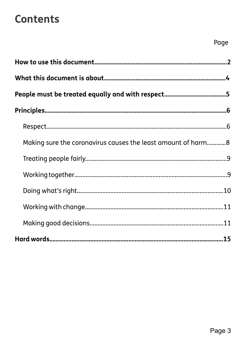## **Contents**

| Making sure the coronavirus causes the least amount of harm8 |  |
|--------------------------------------------------------------|--|
|                                                              |  |
|                                                              |  |
|                                                              |  |
|                                                              |  |
|                                                              |  |
|                                                              |  |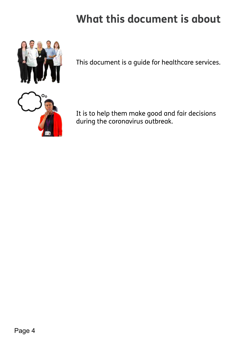# **What this document is about**

<span id="page-3-0"></span>

This document is a guide for healthcare services.



It is to help them make good and fair decisions during the coronavirus outbreak.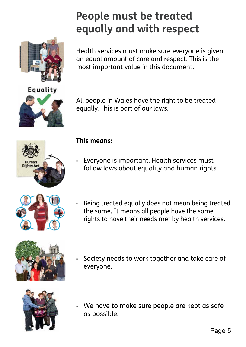# **People must be treated equally and with respect**

Health services must make sure everyone is given an equal amount of care and respect. This is the most important value in this document.

All people in Wales have the right to be treated equally. This is part of our laws.



**Equality** 

#### **This means:**

- Everyone is important. Health services must follow laws about equality and human rights.
	- Being treated equally does not mean being treated the same. It means all people have the same rights to have their needs met by health services.



Society needs to work together and take care of everyone.



▪ We have to make sure people are kept as safe as possible.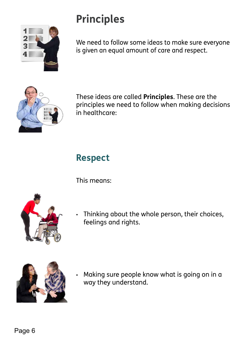# **Principles**

<span id="page-5-0"></span>

We need to follow some ideas to make sure everyone is given an equal amount of care and respect.



These ideas are called **Principles**. These are the principles we need to follow when making decisions in healthcare:

### **Respect**

This means:





Making sure people know what is going on in a way they understand.

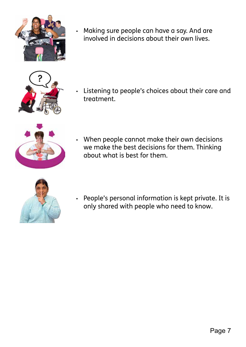

▪ Making sure people can have a say. And are involved in decisions about their own lives.



▪ Listening to people's choices about their care and treatment.



▪ When people cannot make their own decisions we make the best decisions for them. Thinking about what is best for them.



▪ People's personal information is kept private. It is only shared with people who need to know.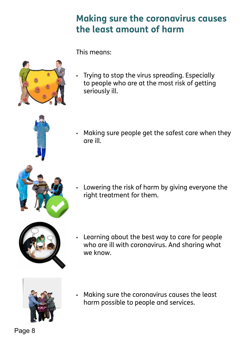### **Making sure the coronavirus causes the least amount of harm**

This means:

<span id="page-7-0"></span>

▪ Trying to stop the virus spreading. Especially to people who are at the most risk of getting seriously ill.



▪ Making sure people get the safest care when they are ill.

▪ Lowering the risk of harm by giving everyone the right treatment for them.



Learning about the best way to care for people who are ill with coronavirus. And sharing what we know.



▪ Making sure the coronavirus causes the least harm possible to people and services.

Page 8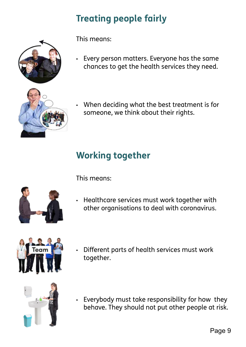## **Treating people fairly**



This means:

- Every person matters. Everyone has the same chances to get the health services they need.
	- When deciding what the best treatment is for someone, we think about their rights.

### **Working together**



- This means:
- Healthcare services must work together with other organisations to deal with coronavirus.



**Different parts of health services must work** together.



▪ Everybody must take responsibility for how they behave. They should not put other people at risk.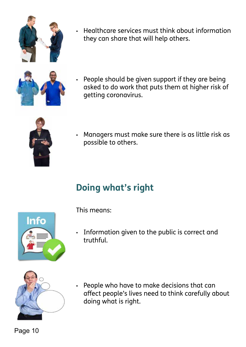Page 10

#### People who have to make decisions that can afect people's lives need to think carefully about doing what is right.

This means:

▪ Information given to the public is correct and truthful.





Info

- Managers must make sure there is as little risk as possible to others.
- People should be given support if they are being asked to do work that puts them at higher risk of getting coronavirus.
- Healthcare services must think about information they can share that will help others.

<span id="page-9-0"></span>

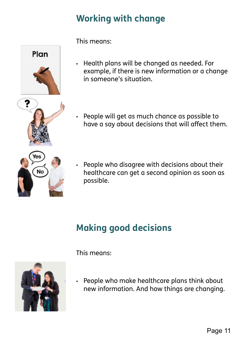## **Working with change**



This means:

- Health plans will be changed as needed. For example, if there is new information or a change in someone's situation.
- People will get as much chance as possible to have a say about decisions that will affect them.



▪ People who disagree with decisions about their healthcare can get a second opinion as soon as possible.

## **Making good decisions**

- This means:
- People who make healthcare plans think about new information. And how things are changing.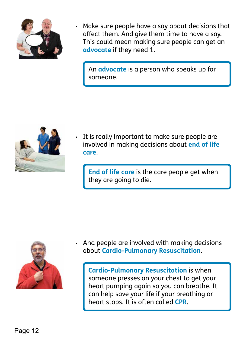

Make sure people have a say about decisions that afect them. And give them time to have a say. This could mean making sure people can get an **advocate** if they need 1.

An **advocate** is a person who speaks up for someone.



It is really important to make sure people are involved in making decisions about **end of life care**.

**End of life care** is the care people get when they are going to die.



And people are involved with making decisions about **Cardio-Pulmonary Resuscitation**.

**Cardio-Pulmonary Resuscitation** is when someone presses on your chest to get your heart pumping again so you can breathe. It can help save your life if your breathing or heart stops. It is often called **CPR**.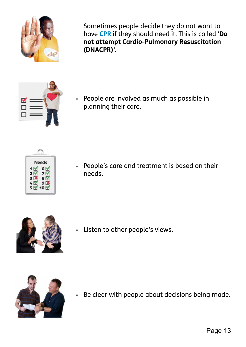

Sometimes people decide they do not want to have **CPR** if they should need it. This is called '**Do not attempt Cardio-Pulmonary Resuscitation (DNACPR)'.** 



▪ People are involved as much as possible in planning their care.



▪ People's care and treatment is based on their needs.



▪ Listen to other people's views.



▪ Be clear with people about decisions being made.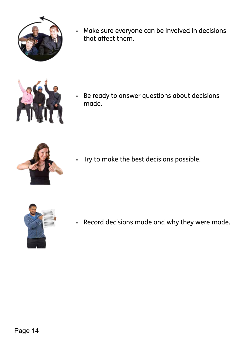

▪ Make sure everyone can be involved in decisions that afect them.



▪ Be ready to answer questions about decisions made.



▪ Try to make the best decisions possible.



▪ Record decisions made and why they were made.